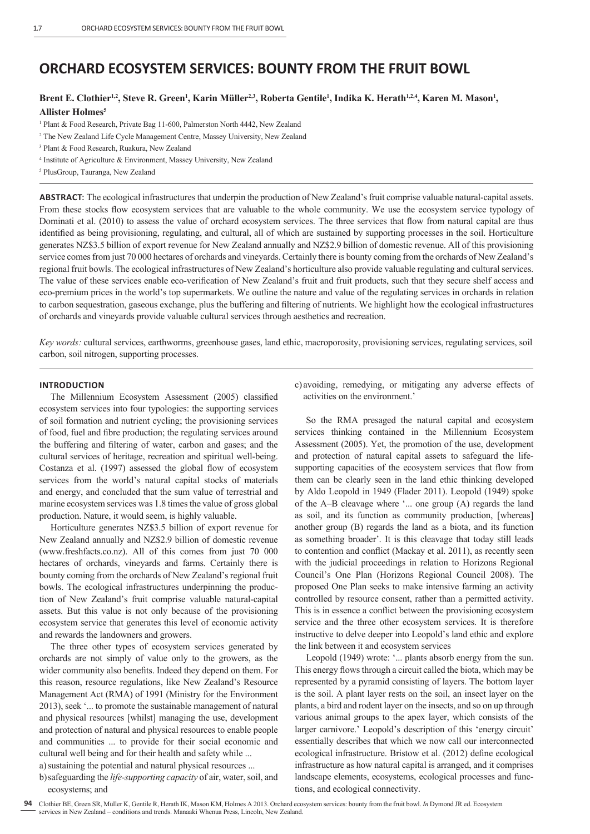# **ORCHARD ECOSYSTEM SERVICES: BOUNTY FROM THE FRUIT BOWL**

# Brent E. Clothier<sup>1,2</sup>, Steve R. Green<sup>1</sup>, Karin Müller<sup>2,3</sup>, Roberta Gentile<sup>1</sup>, Indika K. Herath<sup>1,2,4</sup>, Karen M. Mason<sup>1</sup>, **Allister Holmes5**

- 2 The New Zealand Life Cycle Management Centre, Massey University, New Zealand
- 3 Plant & Food Research, Ruakura, New Zealand
- 4 Institute of Agriculture & Environment, Massey University, New Zealand
- 5 PlusGroup, Tauranga, New Zealand

**ABSTRACT**: The ecological infrastructures that underpin the production of New Zealand's fruit comprise valuable natural-capital assets. From these stocks flow ecosystem services that are valuable to the whole community. We use the ecosystem service typology of Dominati et al. (2010) to assess the value of orchard ecosystem services. The three services that flow from natural capital are thus identified as being provisioning, regulating, and cultural, all of which are sustained by supporting processes in the soil. Horticulture generates NZ\$3.5 billion of export revenue for New Zealand annually and NZ\$2.9 billion of domestic revenue. All of this provisioning service comes from just 70 000 hectares of orchards and vineyards. Certainly there is bounty coming from the orchards of New Zealand's regional fruit bowls. The ecological infrastructures of New Zealand's horticulture also provide valuable regulating and cultural services. The value of these services enable eco-verification of New Zealand's fruit and fruit products, such that they secure shelf access and eco-premium prices in the world's top supermarkets. We outline the nature and value of the regulating services in orchards in relation to carbon sequestration, gaseous exchange, plus the buffering and fi ltering of nutrients. We highlight how the ecological infrastructures of orchards and vineyards provide valuable cultural services through aesthetics and recreation.

*Key words:* cultural services, earthworms, greenhouse gases, land ethic, macroporosity, provisioning services, regulating services, soil carbon, soil nitrogen, supporting processes.

## **INTRODUCTION**

The Millennium Ecosystem Assessment (2005) classified ecosystem services into four typologies: the supporting services of soil formation and nutrient cycling; the provisioning services of food, fuel and fibre production; the regulating services around the buffering and filtering of water, carbon and gases; and the cultural services of heritage, recreation and spiritual well-being. Costanza et al. (1997) assessed the global flow of ecosystem services from the world's natural capital stocks of materials and energy, and concluded that the sum value of terrestrial and marine ecosystem services was 1.8 times the value of gross global production. Nature, it would seem, is highly valuable.

Horticulture generates NZ\$3.5 billion of export revenue for New Zealand annually and NZ\$2.9 billion of domestic revenue (www.freshfacts.co.nz). All of this comes from just 70 000 hectares of orchards, vineyards and farms. Certainly there is bounty coming from the orchards of New Zealand's regional fruit bowls. The ecological infrastructures underpinning the production of New Zealand's fruit comprise valuable natural-capital assets. But this value is not only because of the provisioning ecosystem service that generates this level of economic activity and rewards the landowners and growers.

The three other types of ecosystem services generated by orchards are not simply of value only to the growers, as the wider community also benefits. Indeed they depend on them. For this reason, resource regulations, like New Zealand's Resource Management Act (RMA) of 1991 (Ministry for the Environment 2013), seek '... to promote the sustainable management of natural and physical resources [whilst] managing the use, development and protection of natural and physical resources to enable people and communities ... to provide for their social economic and cultural well being and for their health and safety while ...

a) sustaining the potential and natural physical resources ...

b) safeguarding the *life-supporting capacity* of air, water, soil, and ecosystems; and

c) avoiding, remedying, or mitigating any adverse effects of activities on the environment.'

So the RMA presaged the natural capital and ecosystem services thinking contained in the Millennium Ecosystem Assessment (2005). Yet, the promotion of the use, development and protection of natural capital assets to safeguard the lifesupporting capacities of the ecosystem services that flow from them can be clearly seen in the land ethic thinking developed by Aldo Leopold in 1949 (Flader 2011). Leopold (1949) spoke of the A–B cleavage where '... one group (A) regards the land as soil, and its function as community production, [whereas] another group (B) regards the land as a biota, and its function as something broader'. It is this cleavage that today still leads to contention and conflict (Mackay et al. 2011), as recently seen with the judicial proceedings in relation to Horizons Regional Council's One Plan (Horizons Regional Council 2008). The proposed One Plan seeks to make intensive farming an activity controlled by resource consent, rather than a permitted activity. This is in essence a conflict between the provisioning ecosystem service and the three other ecosystem services. It is therefore instructive to delve deeper into Leopold's land ethic and explore the link between it and ecosystem services

Leopold (1949) wrote: '... plants absorb energy from the sun. This energy flows through a circuit called the biota, which may be represented by a pyramid consisting of layers. The bottom layer is the soil. A plant layer rests on the soil, an insect layer on the plants, a bird and rodent layer on the insects, and so on up through various animal groups to the apex layer, which consists of the larger carnivore.' Leopold's description of this 'energy circuit' essentially describes that which we now call our interconnected ecological infrastructure. Bristow et al. (2012) define ecological infrastructure as how natural capital is arranged, and it comprises landscape elements, ecosystems, ecological processes and functions, and ecological connectivity.

<sup>&</sup>lt;sup>1</sup> Plant & Food Research, Private Bag 11-600, Palmerston North 4442, New Zealand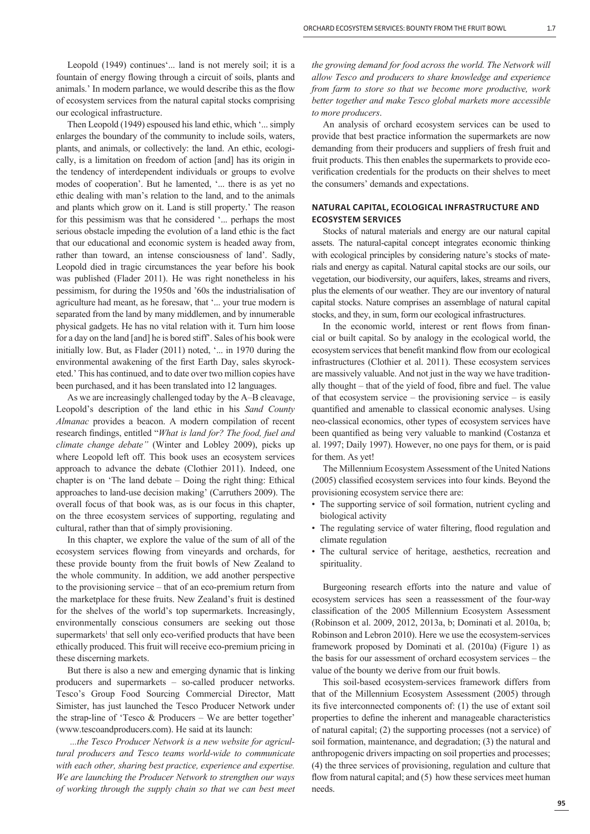Leopold (1949) continues'... land is not merely soil; it is a fountain of energy flowing through a circuit of soils, plants and animals.' In modern parlance, we would describe this as the flow of ecosystem services from the natural capital stocks comprising our ecological infrastructure.

Then Leopold (1949) espoused his land ethic, which '... simply enlarges the boundary of the community to include soils, waters, plants, and animals, or collectively: the land. An ethic, ecologically, is a limitation on freedom of action [and] has its origin in the tendency of interdependent individuals or groups to evolve modes of cooperation'. But he lamented, '... there is as yet no ethic dealing with man's relation to the land, and to the animals and plants which grow on it. Land is still property.' The reason for this pessimism was that he considered '... perhaps the most serious obstacle impeding the evolution of a land ethic is the fact that our educational and economic system is headed away from, rather than toward, an intense consciousness of land'. Sadly, Leopold died in tragic circumstances the year before his book was published (Flader 2011). He was right nonetheless in his pessimism, for during the 1950s and '60s the industrialisation of agriculture had meant, as he foresaw, that '... your true modern is separated from the land by many middlemen, and by innumerable physical gadgets. He has no vital relation with it. Turn him loose for a day on the land [and] he is bored stiff'. Sales of his book were initially low. But, as Flader (2011) noted, '... in 1970 during the environmental awakening of the first Earth Day, sales skyrocketed.' This has continued, and to date over two million copies have been purchased, and it has been translated into 12 languages.

As we are increasingly challenged today by the A–B cleavage, Leopold's description of the land ethic in his *Sand County Almanac* provides a beacon. A modern compilation of recent research findings, entitled "*What is land for? The food, fuel and climate change debate"* (Winter and Lobley 2009), picks up where Leopold left off. This book uses an ecosystem services approach to advance the debate (Clothier 2011). Indeed, one chapter is on 'The land debate – Doing the right thing: Ethical approaches to land-use decision making' (Carruthers 2009). The overall focus of that book was, as is our focus in this chapter, on the three ecosystem services of supporting, regulating and cultural, rather than that of simply provisioning.

In this chapter, we explore the value of the sum of all of the ecosystem services flowing from vineyards and orchards, for these provide bounty from the fruit bowls of New Zealand to the whole community. In addition, we add another perspective to the provisioning service – that of an eco-premium return from the marketplace for these fruits. New Zealand's fruit is destined for the shelves of the world's top supermarkets. Increasingly, environmentally conscious consumers are seeking out those supermarkets<sup>1</sup> that sell only eco-verified products that have been ethically produced. This fruit will receive eco-premium pricing in these discerning markets.

But there is also a new and emerging dynamic that is linking producers and supermarkets – so-called producer networks. Tesco's Group Food Sourcing Commercial Director, Matt Simister, has just launched the Tesco Producer Network under the strap-line of 'Tesco & Producers – We are better together' (www.tescoandproducers.com). He said at its launch:

 *...the Tesco Producer Network is a new website for agricultural producers and Tesco teams world-wide to communicate with each other, sharing best practice, experience and expertise. We are launching the Producer Network to strengthen our ways of working through the supply chain so that we can best meet*  *the growing demand for food across the world. The Network will allow Tesco and producers to share knowledge and experience from farm to store so that we become more productive, work better together and make Tesco global markets more accessible to more producers*.

An analysis of orchard ecosystem services can be used to provide that best practice information the supermarkets are now demanding from their producers and suppliers of fresh fruit and fruit products. This then enables the supermarkets to provide ecoverification credentials for the products on their shelves to meet the consumers' demands and expectations.

## **NATURAL CAPITAL, ECOLOGICAL INFRASTRUCTURE AND ECOSYSTEM SERVICES**

Stocks of natural materials and energy are our natural capital assets. The natural-capital concept integrates economic thinking with ecological principles by considering nature's stocks of materials and energy as capital. Natural capital stocks are our soils, our vegetation, our biodiversity, our aquifers, lakes, streams and rivers, plus the elements of our weather. They are our inventory of natural capital stocks. Nature comprises an assemblage of natural capital stocks, and they, in sum, form our ecological infrastructures.

In the economic world, interest or rent flows from financial or built capital. So by analogy in the ecological world, the ecosystem services that benefit mankind flow from our ecological infrastructures (Clothier et al. 2011). These ecosystem services are massively valuable. And not just in the way we have traditionally thought  $-$  that of the yield of food, fibre and fuel. The value of that ecosystem service – the provisioning service – is easily quantified and amenable to classical economic analyses. Using neo-classical economics, other types of ecosystem services have been quantified as being very valuable to mankind (Costanza et al. 1997; Daily 1997). However, no one pays for them, or is paid for them. As yet!

The Millennium Ecosystem Assessment of the United Nations (2005) classified ecosystem services into four kinds. Beyond the provisioning ecosystem service there are:

- The supporting service of soil formation, nutrient cycling and biological activity
- The regulating service of water filtering, flood regulation and climate regulation
- The cultural service of heritage, aesthetics, recreation and spirituality.

Burgeoning research efforts into the nature and value of ecosystem services has seen a reassessment of the four-way classification of the 2005 Millennium Ecosystem Assessment (Robinson et al. 2009, 2012, 2013a, b; Dominati et al. 2010a, b; Robinson and Lebron 2010). Here we use the ecosystem-services framework proposed by Dominati et al. (2010a) (Figure 1) as the basis for our assessment of orchard ecosystem services – the value of the bounty we derive from our fruit bowls.

This soil-based ecosystem-services framework differs from that of the Millennium Ecosystem Assessment (2005) through its five interconnected components of:  $(1)$  the use of extant soil properties to define the inherent and manageable characteristics of natural capital; (2) the supporting processes (not a service) of soil formation, maintenance, and degradation; (3) the natural and anthropogenic drivers impacting on soil properties and processes; (4) the three services of provisioning, regulation and culture that flow from natural capital; and  $(5)$  how these services meet human needs.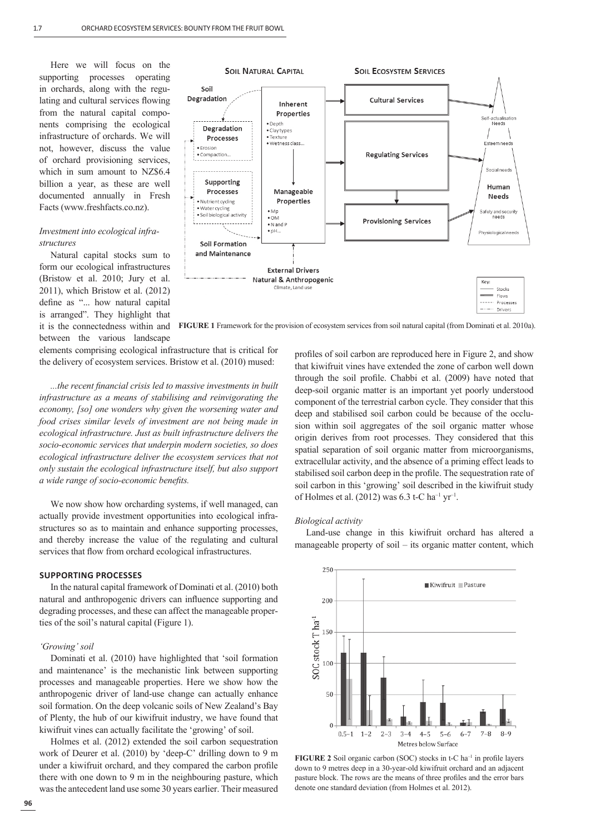Here we will focus on the supporting processes operating in orchards, along with the regulating and cultural services flowing from the natural capital components comprising the ecological infrastructure of orchards. We will not, however, discuss the value of orchard provisioning services, which in sum amount to NZ\$6.4 billion a year, as these are well documented annually in Fresh Facts (www.freshfacts.co.nz).

## *Investment into ecological infrastructures*

Natural capital stocks sum to form our ecological infrastructures (Bristow et al. 2010; Jury et al. 2011), which Bristow et al. (2012) define as "... how natural capital is arranged". They highlight that it is the connectedness within and between the various landscape



**FIGURE 1** Framework for the provision of ecosystem services from soil natural capital (from Dominati et al. 2010a).

elements comprising ecological infrastructure that is critical for the delivery of ecosystem services. Bristow et al. (2010) mused:

*...the recent fi nancial crisis led to massive investments in built infrastructure as a means of stabilising and reinvigorating the economy, [so] one wonders why given the worsening water and food crises similar levels of investment are not being made in ecological infrastructure. Just as built infrastructure delivers the socio-economic services that underpin modern societies, so does ecological infrastructure deliver the ecosystem services that not only sustain the ecological infrastructure itself, but also support a wide range of socio-economic benefits.* 

We now show how orcharding systems, if well managed, can actually provide investment opportunities into ecological infrastructures so as to maintain and enhance supporting processes, and thereby increase the value of the regulating and cultural services that flow from orchard ecological infrastructures.

## **SUPPORTING PROCESSES**

In the natural capital framework of Dominati et al. (2010) both natural and anthropogenic drivers can influence supporting and degrading processes, and these can affect the manageable properties of the soil's natural capital (Figure 1).

#### *'Growing' soil*

Dominati et al. (2010) have highlighted that 'soil formation and maintenance' is the mechanistic link between supporting processes and manageable properties. Here we show how the anthropogenic driver of land-use change can actually enhance soil formation. On the deep volcanic soils of New Zealand's Bay of Plenty, the hub of our kiwifruit industry, we have found that kiwifruit vines can actually facilitate the 'growing' of soil.

Holmes et al. (2012) extended the soil carbon sequestration work of Deurer et al. (2010) by 'deep-C' drilling down to 9 m under a kiwifruit orchard, and they compared the carbon profile there with one down to 9 m in the neighbouring pasture, which was the antecedent land use some 30 years earlier. Their measured

profiles of soil carbon are reproduced here in Figure 2, and show that kiwifruit vines have extended the zone of carbon well down through the soil profile. Chabbi et al. (2009) have noted that deep-soil organic matter is an important yet poorly understood component of the terrestrial carbon cycle. They consider that this deep and stabilised soil carbon could be because of the occlusion within soil aggregates of the soil organic matter whose origin derives from root processes. They considered that this spatial separation of soil organic matter from microorganisms, extracellular activity, and the absence of a priming effect leads to stabilised soil carbon deep in the profile. The sequestration rate of soil carbon in this 'growing' soil described in the kiwifruit study of Holmes et al. (2012) was  $6.3$  t-C ha<sup>-1</sup> yr<sup>-1</sup>.

#### *Biological activity*

Land-use change in this kiwifruit orchard has altered a manageable property of soil – its organic matter content, which



**FIGURE 2** Soil organic carbon (SOC) stocks in t-C ha<sup>-1</sup> in profile layers down to 9 metres deep in a 30-year-old kiwifruit orchard and an adjacent pasture block. The rows are the means of three profiles and the error bars denote one standard deviation (from Holmes et al. 2012).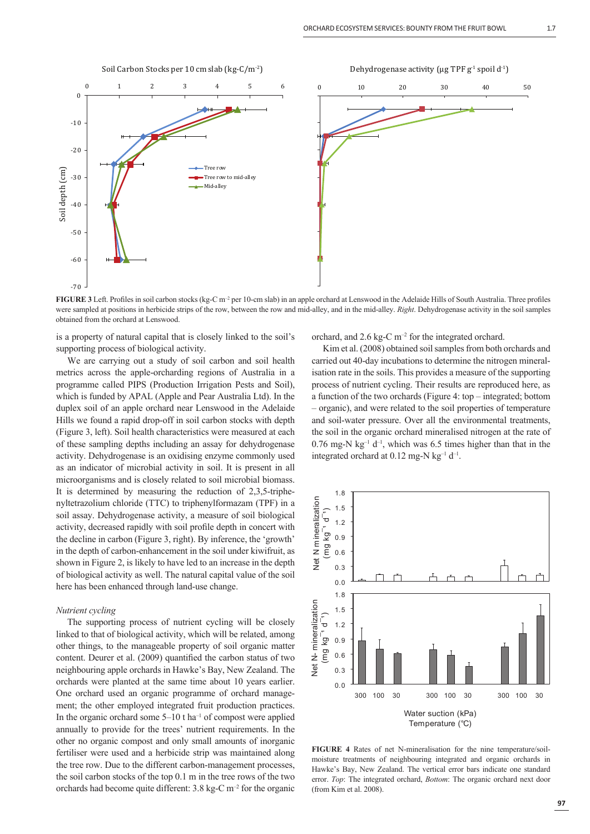

**FIGURE 3** Left. Profiles in soil carbon stocks (kg-C m<sup>-2</sup> per 10-cm slab) in an apple orchard at Lenswood in the Adelaide Hills of South Australia. Three profiles were sampled at positions in herbicide strips of the row, between the row and mid-alley, and in the mid-alley. *Right*. Dehydrogenase activity in the soil samples obtained from the orchard at Lenswood.

is a property of natural capital that is closely linked to the soil's supporting process of biological activity.

We are carrying out a study of soil carbon and soil health metrics across the apple-orcharding regions of Australia in a programme called PIPS (Production Irrigation Pests and Soil), which is funded by APAL (Apple and Pear Australia Ltd). In the duplex soil of an apple orchard near Lenswood in the Adelaide Hills we found a rapid drop-off in soil carbon stocks with depth (Figure 3, left). Soil health characteristics were measured at each of these sampling depths including an assay for dehydrogenase activity. Dehydrogenase is an oxidising enzyme commonly used as an indicator of microbial activity in soil. It is present in all microorganisms and is closely related to soil microbial biomass. It is determined by measuring the reduction of 2,3,5-triphenyltetrazolium chloride (TTC) to triphenylformazam (TPF) in a soil assay. Dehydrogenase activity, a measure of soil biological activity, decreased rapidly with soil profile depth in concert with the decline in carbon (Figure 3, right). By inference, the 'growth' in the depth of carbon-enhancement in the soil under kiwifruit, as shown in Figure 2, is likely to have led to an increase in the depth of biological activity as well. The natural capital value of the soil here has been enhanced through land-use change.

## *Nutrient cycling*

The supporting process of nutrient cycling will be closely linked to that of biological activity, which will be related, among other things, to the manageable property of soil organic matter content. Deurer et al. (2009) quantified the carbon status of two neighbouring apple orchards in Hawke's Bay, New Zealand. The orchards were planted at the same time about 10 years earlier. One orchard used an organic programme of orchard management; the other employed integrated fruit production practices. In the organic orchard some  $5-10$  t ha<sup>-1</sup> of compost were applied annually to provide for the trees' nutrient requirements. In the other no organic compost and only small amounts of inorganic fertiliser were used and a herbicide strip was maintained along the tree row. Due to the different carbon-management processes, the soil carbon stocks of the top 0.1 m in the tree rows of the two orchards had become quite different:  $3.8 \text{ kg-C m}^{-2}$  for the organic orchard, and  $2.6 \text{ kg-C} \text{ m}^{-2}$  for the integrated orchard.

Kim et al. (2008) obtained soil samples from both orchards and carried out 40-day incubations to determine the nitrogen mineralisation rate in the soils. This provides a measure of the supporting process of nutrient cycling. Their results are reproduced here, as a function of the two orchards (Figure 4: top – integrated; bottom – organic), and were related to the soil properties of temperature and soil-water pressure. Over all the environmental treatments, the soil in the organic orchard mineralised nitrogen at the rate of  $0.76$  mg-N kg<sup>-1</sup> d<sup>-1</sup>, which was 6.5 times higher than that in the integrated orchard at  $0.12$  mg-N kg<sup>-1</sup> d<sup>-1</sup>.



**FIGURE 4** Rates of net N-mineralisation for the nine temperature/soilmoisture treatments of neighbouring integrated and organic orchards in Hawke's Bay, New Zealand. The vertical error bars indicate one standard error. *Top*: The integrated orchard, *Bottom*: The organic orchard next door (from Kim et al. 2008).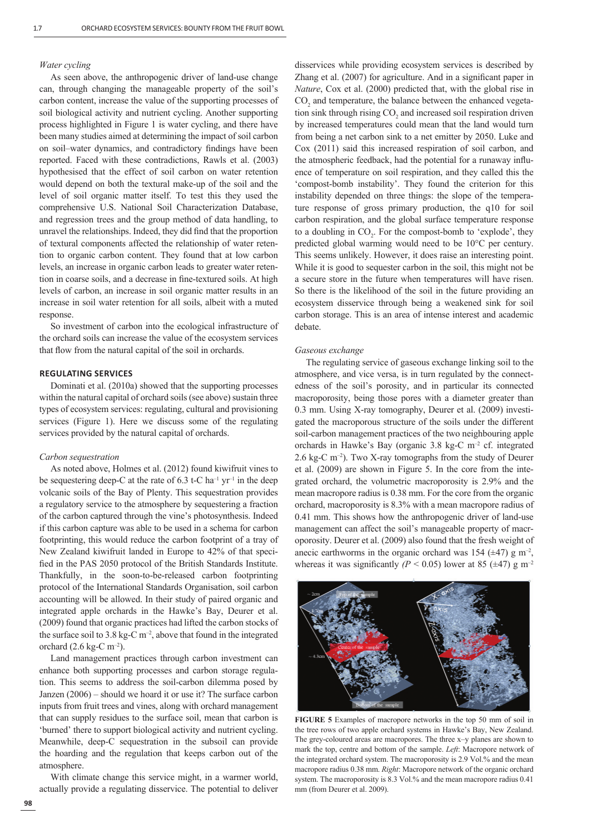#### *Water cycling*

As seen above, the anthropogenic driver of land-use change can, through changing the manageable property of the soil's carbon content, increase the value of the supporting processes of soil biological activity and nutrient cycling. Another supporting process highlighted in Figure 1 is water cycling, and there have been many studies aimed at determining the impact of soil carbon on soil–water dynamics, and contradictory findings have been reported. Faced with these contradictions, Rawls et al. (2003) hypothesised that the effect of soil carbon on water retention would depend on both the textural make-up of the soil and the level of soil organic matter itself. To test this they used the comprehensive U.S. National Soil Characterization Database, and regression trees and the group method of data handling, to unravel the relationships. Indeed, they did find that the proportion of textural components affected the relationship of water retention to organic carbon content. They found that at low carbon levels, an increase in organic carbon leads to greater water retention in coarse soils, and a decrease in fine-textured soils. At high levels of carbon, an increase in soil organic matter results in an increase in soil water retention for all soils, albeit with a muted response.

So investment of carbon into the ecological infrastructure of the orchard soils can increase the value of the ecosystem services that flow from the natural capital of the soil in orchards.

## **REGULATING SERVICES**

Dominati et al. (2010a) showed that the supporting processes within the natural capital of orchard soils (see above) sustain three types of ecosystem services: regulating, cultural and provisioning services (Figure 1). Here we discuss some of the regulating services provided by the natural capital of orchards.

#### *Carbon sequestration*

As noted above, Holmes et al. (2012) found kiwifruit vines to be sequestering deep-C at the rate of  $6.3$  t-C ha<sup>-1</sup> yr<sup>-1</sup> in the deep volcanic soils of the Bay of Plenty. This sequestration provides a regulatory service to the atmosphere by sequestering a fraction of the carbon captured through the vine's photosynthesis. Indeed if this carbon capture was able to be used in a schema for carbon footprinting, this would reduce the carbon footprint of a tray of New Zealand kiwifruit landed in Europe to 42% of that specified in the PAS 2050 protocol of the British Standards Institute. Thankfully, in the soon-to-be-released carbon footprinting protocol of the International Standards Organisation, soil carbon accounting will be allowed. In their study of paired organic and integrated apple orchards in the Hawke's Bay, Deurer et al. (2009) found that organic practices had lifted the carbon stocks of the surface soil to 3.8 kg-C  $\mathrm{m}^{-2}$ , above that found in the integrated orchard  $(2.6 \text{ kg-C m}^{-2})$ .

Land management practices through carbon investment can enhance both supporting processes and carbon storage regulation. This seems to address the soil-carbon dilemma posed by Janzen (2006) – should we hoard it or use it? The surface carbon inputs from fruit trees and vines, along with orchard management that can supply residues to the surface soil, mean that carbon is 'burned' there to support biological activity and nutrient cycling. Meanwhile, deep-C sequestration in the subsoil can provide the hoarding and the regulation that keeps carbon out of the atmosphere.

With climate change this service might, in a warmer world, actually provide a regulating disservice. The potential to deliver disservices while providing ecosystem services is described by Zhang et al. (2007) for agriculture. And in a significant paper in *Nature*, Cox et al. (2000) predicted that, with the global rise in  $CO<sub>2</sub>$  and temperature, the balance between the enhanced vegetation sink through rising  $CO<sub>2</sub>$  and increased soil respiration driven by increased temperatures could mean that the land would turn from being a net carbon sink to a net emitter by 2050. Luke and Cox (2011) said this increased respiration of soil carbon, and the atmospheric feedback, had the potential for a runaway influence of temperature on soil respiration, and they called this the 'compost-bomb instability'. They found the criterion for this instability depended on three things: the slope of the temperature response of gross primary production, the q10 for soil carbon respiration, and the global surface temperature response to a doubling in  $CO<sub>2</sub>$ . For the compost-bomb to 'explode', they predicted global warming would need to be 10°C per century. This seems unlikely. However, it does raise an interesting point. While it is good to sequester carbon in the soil, this might not be a secure store in the future when temperatures will have risen. So there is the likelihood of the soil in the future providing an ecosystem disservice through being a weakened sink for soil carbon storage. This is an area of intense interest and academic debate.

## *Gaseous exchange*

The regulating service of gaseous exchange linking soil to the atmosphere, and vice versa, is in turn regulated by the connectedness of the soil's porosity, and in particular its connected macroporosity, being those pores with a diameter greater than 0.3 mm. Using X-ray tomography, Deurer et al. (2009) investigated the macroporous structure of the soils under the different soil-carbon management practices of the two neighbouring apple orchards in Hawke's Bay (organic 3.8 kg-C m–2 cf. integrated 2.6 kg-C  $\rm m^{-2}$ ). Two X-ray tomographs from the study of Deurer et al. (2009) are shown in Figure 5. In the core from the integrated orchard, the volumetric macroporosity is 2.9% and the mean macropore radius is 0.38 mm. For the core from the organic orchard, macroporosity is 8.3% with a mean macropore radius of 0.41 mm. This shows how the anthropogenic driver of land-use management can affect the soil's manageable property of macroporosity. Deurer et al. (2009) also found that the fresh weight of anecic earthworms in the organic orchard was 154 ( $\pm$ 47) g m<sup>-2</sup>, whereas it was significantly  $(P < 0.05)$  lower at 85 ( $\pm$ 47) g m<sup>-2</sup>



**FIGURE 5** Examples of macropore networks in the top 50 mm of soil in the tree rows of two apple orchard systems in Hawke's Bay, New Zealand. The grey-coloured areas are macropores. The three x–y planes are shown to mark the top, centre and bottom of the sample. *Left*: Macropore network of the integrated orchard system. The macroporosity is 2.9 Vol.% and the mean macropore radius 0.38 mm. *Right*: Macropore network of the organic orchard system. The macroporosity is 8.3 Vol.% and the mean macropore radius 0.41 mm (from Deurer et al. 2009).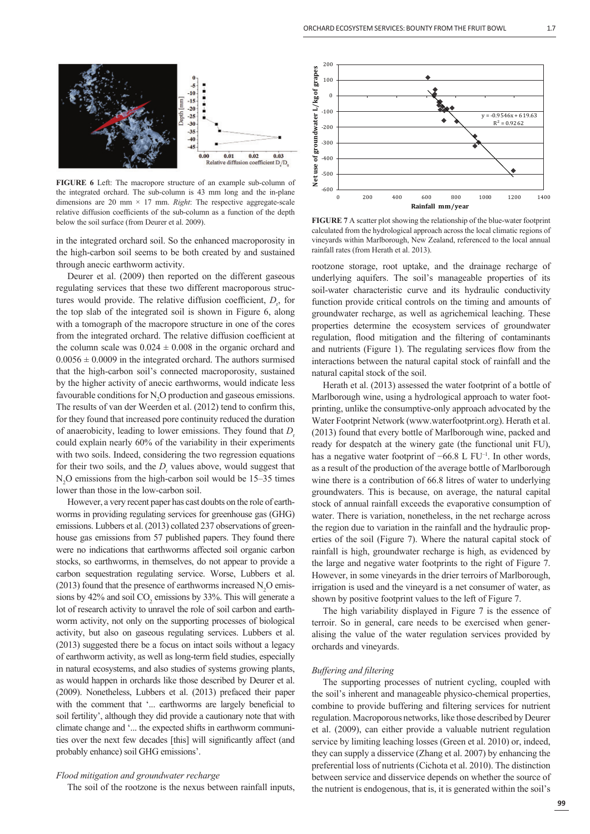

**FIGURE 6** Left: The macropore structure of an example sub-column of the integrated orchard. The sub-column is 43 mm long and the in-plane dimensions are 20 mm  $\times$  17 mm. *Right*: The respective aggregate-scale relative diffusion coefficients of the sub-column as a function of the depth below the soil surface (from Deurer et al. 2009).

in the integrated orchard soil. So the enhanced macroporosity in the high-carbon soil seems to be both created by and sustained through anecic earthworm activity.

Deurer et al. (2009) then reported on the different gaseous regulating services that these two different macroporous structures would provide. The relative diffusion coefficient,  $D_{r}$ , for the top slab of the integrated soil is shown in Figure 6, along with a tomograph of the macropore structure in one of the cores from the integrated orchard. The relative diffusion coefficient at the column scale was  $0.024 \pm 0.008$  in the organic orchard and  $0.0056 \pm 0.0009$  in the integrated orchard. The authors surmised that the high-carbon soil's connected macroporosity, sustained by the higher activity of anecic earthworms, would indicate less favourable conditions for  $N_2O$  production and gaseous emissions. The results of van der Weerden et al. (2012) tend to confirm this, for they found that increased pore continuity reduced the duration of anaerobicity, leading to lower emissions. They found that *D* could explain nearly 60% of the variability in their experiments with two soils. Indeed, considering the two regression equations for their two soils, and the  $D<sub>r</sub>$  values above, would suggest that  $N<sub>2</sub>O$  emissions from the high-carbon soil would be 15–35 times lower than those in the low-carbon soil.

However, a very recent paper has cast doubts on the role of earthworms in providing regulating services for greenhouse gas (GHG) emissions. Lubbers et al. (2013) collated 237 observations of greenhouse gas emissions from 57 published papers. They found there were no indications that earthworms affected soil organic carbon stocks, so earthworms, in themselves, do not appear to provide a carbon sequestration regulating service. Worse, Lubbers et al. (2013) found that the presence of earthworms increased  $N_2O$  emissions by 42% and soil  $CO<sub>2</sub>$  emissions by 33%. This will generate a lot of research activity to unravel the role of soil carbon and earthworm activity, not only on the supporting processes of biological activity, but also on gaseous regulating services. Lubbers et al. (2013) suggested there be a focus on intact soils without a legacy of earthworm activity, as well as long-term field studies, especially in natural ecosystems, and also studies of systems growing plants, as would happen in orchards like those described by Deurer et al. (2009). Nonetheless, Lubbers et al. (2013) prefaced their paper with the comment that '... earthworms are largely beneficial to soil fertility', although they did provide a cautionary note that with climate change and '... the expected shifts in earthworm communities over the next few decades [this] will significantly affect (and probably enhance) soil GHG emissions'.

## *Flood mitigation and groundwater recharge*

The soil of the rootzone is the nexus between rainfall inputs,



**FIGURE 7** A scatter plot showing the relationship of the blue-water footprint calculated from the hydrological approach across the local climatic regions of vineyards within Marlborough, New Zealand, referenced to the local annual rainfall rates (from Herath et al. 2013).

rootzone storage, root uptake, and the drainage recharge of underlying aquifers. The soil's manageable properties of its soil-water characteristic curve and its hydraulic conductivity function provide critical controls on the timing and amounts of groundwater recharge, as well as agrichemical leaching. These properties determine the ecosystem services of groundwater regulation, flood mitigation and the filtering of contaminants and nutrients (Figure 1). The regulating services flow from the interactions between the natural capital stock of rainfall and the natural capital stock of the soil.

Herath et al. (2013) assessed the water footprint of a bottle of Marlborough wine, using a hydrological approach to water footprinting, unlike the consumptive-only approach advocated by the Water Footprint Network (www.waterfootprint.org). Herath et al. (2013) found that every bottle of Marlborough wine, packed and ready for despatch at the winery gate (the functional unit FU), has a negative water footprint of −66.8 L FU<sup>-1</sup>. In other words, as a result of the production of the average bottle of Marlborough wine there is a contribution of 66.8 litres of water to underlying groundwaters. This is because, on average, the natural capital stock of annual rainfall exceeds the evaporative consumption of water. There is variation, nonetheless, in the net recharge across the region due to variation in the rainfall and the hydraulic properties of the soil (Figure 7). Where the natural capital stock of rainfall is high, groundwater recharge is high, as evidenced by the large and negative water footprints to the right of Figure 7. However, in some vineyards in the drier terroirs of Marlborough, irrigation is used and the vineyard is a net consumer of water, as shown by positive footprint values to the left of Figure 7.

The high variability displayed in Figure 7 is the essence of terroir. So in general, care needs to be exercised when generalising the value of the water regulation services provided by orchards and vineyards.

#### *Buffering and filtering*

The supporting processes of nutrient cycling, coupled with the soil's inherent and manageable physico-chemical properties, combine to provide buffering and filtering services for nutrient regulation. Macroporous networks, like those described by Deurer et al. (2009), can either provide a valuable nutrient regulation service by limiting leaching losses (Green et al. 2010) or, indeed, they can supply a disservice (Zhang et al. 2007) by enhancing the preferential loss of nutrients (Cichota et al. 2010). The distinction between service and disservice depends on whether the source of the nutrient is endogenous, that is, it is generated within the soil's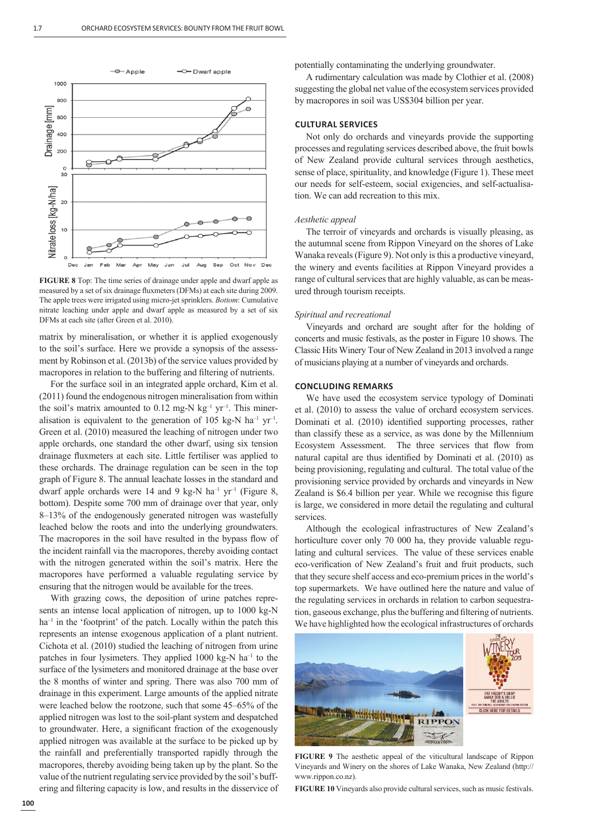

**FIGURE 8** Top: The time series of drainage under apple and dwarf apple as measured by a set of six drainage fluxmeters (DFMs) at each site during 2009. The apple trees were irrigated using micro-jet sprinklers. *Bottom*: Cumulative nitrate leaching under apple and dwarf apple as measured by a set of six DFMs at each site (after Green et al. 2010).

matrix by mineralisation, or whether it is applied exogenously to the soil's surface. Here we provide a synopsis of the assessment by Robinson et al. (2013b) of the service values provided by macropores in relation to the buffering and filtering of nutrients.

For the surface soil in an integrated apple orchard, Kim et al. (2011) found the endogenous nitrogen mineralisation from within the soil's matrix amounted to  $0.12$  mg-N kg<sup>-1</sup> yr<sup>-1</sup>. This mineralisation is equivalent to the generation of 105 kg-N ha<sup>-1</sup> yr<sup>-1</sup>. Green et al. (2010) measured the leaching of nitrogen under two apple orchards, one standard the other dwarf, using six tension drainage fluxmeters at each site. Little fertiliser was applied to these orchards. The drainage regulation can be seen in the top graph of Figure 8. The annual leachate losses in the standard and dwarf apple orchards were 14 and 9 kg-N ha<sup>-1</sup> yr<sup>-1</sup> (Figure 8, bottom). Despite some 700 mm of drainage over that year, only 8–13% of the endogenously generated nitrogen was wastefully leached below the roots and into the underlying groundwaters. The macropores in the soil have resulted in the bypass flow of the incident rainfall via the macropores, thereby avoiding contact with the nitrogen generated within the soil's matrix. Here the macropores have performed a valuable regulating service by ensuring that the nitrogen would be available for the trees.

With grazing cows, the deposition of urine patches represents an intense local application of nitrogen, up to 1000 kg-N ha<sup>-1</sup> in the 'footprint' of the patch. Locally within the patch this represents an intense exogenous application of a plant nutrient. Cichota et al. (2010) studied the leaching of nitrogen from urine patches in four lysimeters. They applied  $1000 \text{ kg-N}$  ha<sup>-1</sup> to the surface of the lysimeters and monitored drainage at the base over the 8 months of winter and spring. There was also 700 mm of drainage in this experiment. Large amounts of the applied nitrate were leached below the rootzone, such that some 45–65% of the applied nitrogen was lost to the soil-plant system and despatched to groundwater. Here, a significant fraction of the exogenously applied nitrogen was available at the surface to be picked up by the rainfall and preferentially transported rapidly through the macropores, thereby avoiding being taken up by the plant. So the value of the nutrient regulating service provided by the soil's buffering and filtering capacity is low, and results in the disservice of potentially contaminating the underlying groundwater.

A rudimentary calculation was made by Clothier et al. (2008) suggesting the global net value of the ecosystem services provided by macropores in soil was US\$304 billion per year.

## **CULTURAL SERVICES**

Not only do orchards and vineyards provide the supporting processes and regulating services described above, the fruit bowls of New Zealand provide cultural services through aesthetics, sense of place, spirituality, and knowledge (Figure 1). These meet our needs for self-esteem, social exigencies, and self-actualisation. We can add recreation to this mix.

#### *Aesthetic appeal*

The terroir of vineyards and orchards is visually pleasing, as the autumnal scene from Rippon Vineyard on the shores of Lake Wanaka reveals (Figure 9). Not only is this a productive vineyard, the winery and events facilities at Rippon Vineyard provides a range of cultural services that are highly valuable, as can be measured through tourism receipts.

#### *Spiritual and recreational*

Vineyards and orchard are sought after for the holding of concerts and music festivals, as the poster in Figure 10 shows. The Classic Hits Winery Tour of New Zealand in 2013 involved a range of musicians playing at a number of vineyards and orchards.

## **CONCLUDING REMARKS**

We have used the ecosystem service typology of Dominati et al. (2010) to assess the value of orchard ecosystem services. Dominati et al. (2010) identified supporting processes, rather than classify these as a service, as was done by the Millennium Ecosystem Assessment. The three services that flow from natural capital are thus identified by Dominati et al. (2010) as being provisioning, regulating and cultural. The total value of the provisioning service provided by orchards and vineyards in New Zealand is \$6.4 billion per year. While we recognise this figure is large, we considered in more detail the regulating and cultural services.

Although the ecological infrastructures of New Zealand's horticulture cover only 70 000 ha, they provide valuable regulating and cultural services. The value of these services enable eco-verification of New Zealand's fruit and fruit products, such that they secure shelf access and eco-premium prices in the world's top supermarkets. We have outlined here the nature and value of the regulating services in orchards in relation to carbon sequestration, gaseous exchange, plus the buffering and filtering of nutrients. We have highlighted how the ecological infrastructures of orchards



**FIGURE 9** The aesthetic appeal of the viticultural landscape of Rippon Vineyards and Winery on the shores of Lake Wanaka, New Zealand (http:// www.rippon.co.nz).

**FIGURE 10** Vineyards also provide cultural services, such as music festivals.